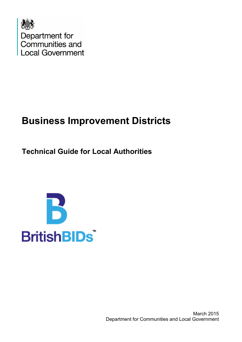

# **Business Improvement Districts**

**Technical Guide for Local Authorities**

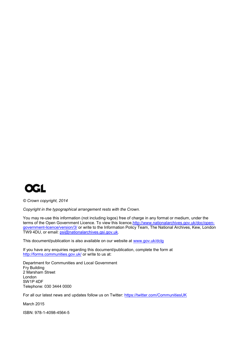

*© Crown copyright, 2014*

*Copyright in the typographical arrangement rests with the Crown.*

You may re-use this information (not including logos) free of charge in any format or medium, under the terms of the Open Government Licence. To view this licence, http://www.nationalarchives.gov.uk/doc/open[government-licence/version/3/](http://www.nationalarchives.gov.uk/doc/open-government-licence/version/3/) or write to the Information Policy Team, The National Archives, Kew, London TW9 4DU, or email: [psi@nationalarchives.gsi.gov.uk.](mailto:psi@nationalarchives.gsi.gov.uk) 

This document/publication is also available on our website at [www.gov.uk/dclg](http://www.gov.uk/dclg)

If you have any enquiries regarding this document/publication, complete the form at <http://forms.communities.gov.uk/> or write to us at:

Department for Communities and Local Government Fry Building 2 Marsham Street London SW1P 4DF Telephone: 030 3444 0000

For all our latest news and updates follow us on Twitter: https://twitter.com/CommunitiesUK

March 2015

ISBN: 978-1-4098-4564-5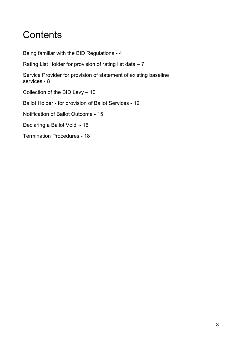# **Contents**

Being familiar with the BID Regulations - 4

Rating List Holder for provision of rating list data – 7

Service Provider for provision of statement of existing baseline services - 8

Collection of the BID Levy – 10

Ballot Holder - for provision of Ballot Services - 12

Notification of Ballot Outcome - 15

Declaring a Ballot Void - 16

Termination Procedures - 18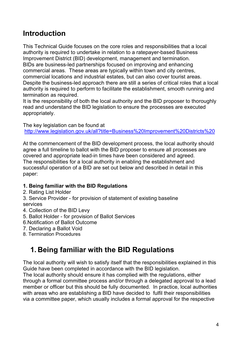### **Introduction**

This Technical Guide focuses on the core roles and responsibilities that a local authority is required to undertake in relation to a ratepayer-based Business Improvement District (BID) development, management and termination. BIDs are business-led partnerships focused on improving and enhancing commercial areas. These areas are typically within town and city centres, commercial locations and industrial estates, but can also cover tourist areas. Despite the business-led approach there are still a series of critical roles that a local authority is required to perform to facilitate the establishment, smooth running and termination as required.

It is the responsibility of both the local authority and the BID proposer to thoroughly read and understand the BID legislation to ensure the processes are executed appropriately.

The key legislation can be found at <http://www.legislation.gov.uk/all?title=Business%20Improvement%20Districts%20>

At the commencement of the BID development process, the local authority should agree a full timeline to ballot with the BID proposer to ensure all processes are covered and appropriate lead-in times have been considered and agreed. The responsibilities for a local authority in enabling the establishment and successful operation of a BID are set out below and described in detail in this paper:

### **1. Being familiar with the BID Regulations**

2. Rating List Holder

3. Service Provider - for provision of statement of existing baseline services

- 4. Collection of the BID Levy
- 5. Ballot Holder for provision of Ballot Services
- 6.Notification of Ballot Outcome
- 7. Declaring a Ballot Void
- 8. Termination Procedures

## **1. Being familiar with the BID Regulations**

The local authority will wish to satisfy itself that the responsibilities explained in this Guide have been completed in accordance with the BID legislation.

The local authority should ensure it has complied with the regulations, either through a formal committee process and/or through a delegated approval to a lead member or officer but this should be fully documented. In practice, local authorities with areas who are establishing a BID have decided to fulfil their responsibilities via a committee paper, which usually includes a formal approval for the respective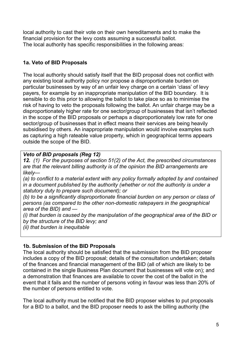local authority to cast their vote on their own hereditaments and to make the financial provision for the levy costs assuming a successful ballot. The local authority has specific responsibilities in the following areas:

### **1a. Veto of BID Proposals**

The local authority should satisfy itself that the BID proposal does not conflict with any existing local authority policy nor propose a disproportionate burden on particular businesses by way of an unfair levy charge on a certain 'class' of levy payers, for example by an inappropriate manipulation of the BID boundary. It is sensible to do this prior to allowing the ballot to take place so as to minimise the risk of having to veto the proposals following the ballot. An unfair charge may be a disproportionately higher rate for one sector/group of businesses that isn't reflected in the scope of the BID proposals or perhaps a disproportionately low rate for one sector/group of businesses that in effect means their services are being heavily subsidised by others. An inappropriate manipulation would involve examples such as capturing a high rateable value property, which in geographical terms appears outside the scope of the BID.

### *Veto of BID proposals (Reg 12)*

*12. (1) For the purposes of section 51(2) of the Act, the prescribed circumstances are that the relevant billing authority is of the opinion the BID arrangements are likely—*

*(a) to conflict to a material extent with any policy formally adopted by and contained in a document published by the authority (whether or not the authority is under a statutory duty to prepare such document); or* 

*(b) to be a significantly disproportionate financial burden on any person or class of persons (as compared to the other non-domestic ratepayers in the geographical area of the BID) and —*

*(i) that burden is caused by the manipulation of the geographical area of the BID or by the structure of the BID levy; and* 

*(ii) that burden is inequitable*

### **1b. Submission of the BID Proposals**

The local authority should be satisfied that the submission from the BID proposer includes a copy of the BID proposal; details of the consultation undertaken; details of the finances and financial management of the BID (all of which are likely to be contained in the single Business Plan document that businesses will vote on); and a demonstration that finances are available to cover the cost of the ballot in the event that it fails and the number of persons voting in favour was less than 20% of the number of persons entitled to vote.

The local authority must be notified that the BID proposer wishes to put proposals for a BID to a ballot, and the BID proposer needs to ask the billing authority (the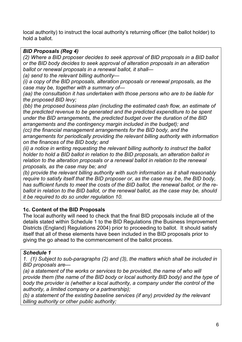local authority) to instruct the local authority's returning officer (the ballot holder) to hold a ballot.

#### *BID Proposals (Reg 4)*

*(2) Where a BID proposer decides to seek approval of BID proposals in a BID ballot or the BID body decides to seek approval of alteration proposals in an alteration ballot or renewal proposals in a renewal ballot, it shall—*

*(a) send to the relevant billing authority—*

*(i) a copy of the BID proposals, alteration proposals or renewal proposals, as the case may be, together with a summary of—*

*(aa) the consultation it has undertaken with those persons who are to be liable for the proposed BID levy;* 

*(bb) the proposed business plan (including the estimated cash flow, an estimate of the predicted revenue to be generated and the predicted expenditure to be spent under the BID arrangements, the predicted budget over the duration of the BID arrangements and the contingency margin included in the budget); and (cc) the financial management arrangements for the BID body, and the arrangements for periodically providing the relevant billing authority with information on the finances of the BID body; and* 

*(ii) a notice in writing requesting the relevant billing authority to instruct the ballot holder to hold a BID ballot in relation to the BID proposals, an alteration ballot in relation to the alteration proposals or a renewal ballot in relation to the renewal proposals, as the case may be; and* 

*(b) provide the relevant billing authority with such information as it shall reasonably require to satisfy itself that the BID proposer or, as the case may be, the BID body, has sufficient funds to meet the costs of the BID ballot, the renewal ballot, or the reballot in relation to the BID ballot, or the renewal ballot, as the case may be, should it be required to do so under regulation 10.* 

### **1c. Content of the BID Proposals**

The local authority will need to check that the final BID proposals include all of the details stated within Schedule 1 to the BID Regulations (the Business Improvement Districts (England) Regulations 2004) prior to proceeding to ballot. It should satisfy itself that all of these elements have been included in the BID proposals prior to giving the go ahead to the commencement of the ballot process.

### *Schedule 1*

*1. (1) Subject to sub-paragraphs (2) and (3), the matters which shall be included in BID proposals are—*

*(a) a statement of the works or services to be provided, the name of who will provide them (the name of the BID body or local authority BID body) and the type of body the provider is (whether a local authority, a company under the control of the authority, a limited company or a partnership);* 

*(b) a statement of the existing baseline services (if any) provided by the relevant billing authority or other public authority;*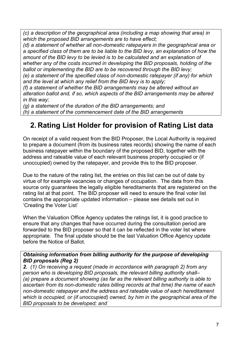*(c) a description of the geographical area (including a map showing that area) in which the proposed BID arrangements are to have effect;* 

*(d) a statement of whether all non-domestic ratepayers in the geographical area or a specified class of them are to be liable to the BID levy, an explanation of how the amount of the BID levy to be levied is to be calculated and an explanation of whether any of the costs incurred in developing the BID proposals, holding of the ballot or implementing the BID are to be recovered through the BID levy;* 

*(e) a statement of the specified class of non-domestic ratepayer (if any) for which and the level at which any relief from the BID levy is to apply;* 

*(f) a statement of whether the BID arrangements may be altered without an alteration ballot and, if so, which aspects of the BID arrangements may be altered in this way;* 

*(g) a statement of the duration of the BID arrangements; and* 

*(h) a statement of the commencement date of the BID arrangements*

### **2. Rating List Holder for provision of Rating List data**

On receipt of a valid request from the BID Proposer, the Local Authority is required to prepare a document (from its business rates records) showing the name of each business ratepayer within the boundary of the proposed BID, together with the address and rateable value of each relevant business property occupied or (if unoccupied) owned by the ratepayer, and provide this to the BID proposer.

Due to the nature of the rating list, the entries on this list can be out of date by virtue of for example vacancies or changes of occupation. The data from this source only guarantees the legally eligible hereditaments that are registered on the rating list at that point. The BID proposer will need to ensure the final voter list contains the appropriate updated information – please see details set out in 'Creating the Voter List'

When the Valuation Office Agency updates the ratings list, it is good practice to ensure that any changes that have occurred during the consultation period are forwarded to the BID proposer so that it can be reflected in the voter list where appropriate. The final update should be the last Valuation Office Agency update before the Notice of Ballot.

#### *Obtaining information from billing authority for the purpose of developing BID proposals (Reg 2)*

*2. (1) On receiving a request (made in accordance with paragraph 2) from any person who is developing BID proposals, the relevant billing authority shall– (a) prepare a document showing (as far as the relevant billing authority is able to ascertain from its non-domestic rates billing records at that time) the name of each non-domestic ratepayer and the address and rateable value of each hereditament which is occupied, or (if unoccupied) owned, by him in the geographical area of the BID proposals to be developed; and*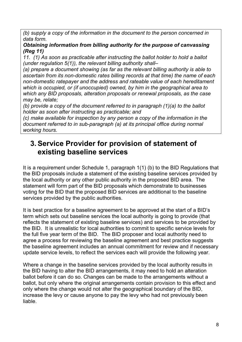*(b) supply a copy of the information in the document to the person concerned in data form.*

#### *Obtaining information from billing authority for the purpose of canvassing (Reg 11)*

*11. (1) As soon as practicable after instructing the ballot holder to hold a ballot (under regulation 5(1)), the relevant billing authority shall–*

*(a) prepare a document showing (as far as the relevant billing authority is able to ascertain from its non-domestic rates billing records at that time) the name of each non-domestic ratepayer and the address and rateable value of each hereditament which is occupied, or (if unoccupied) owned, by him in the geographical area to which any BID proposals, alteration proposals or renewal proposals, as the case may be, relate;* 

*(b) provide a copy of the document referred to in paragraph (1)(a) to the ballot holder as soon after instructing as practicable; and* 

*(c) make available for inspection by any person a copy of the information in the document referred to in sub-paragraph (a) at its principal office during normal working hours.*

### **3. Service Provider for provision of statement of existing baseline services**

It is a requirement under Schedule 1, paragraph 1(1) (b) to the BID Regulations that the BID proposals include a statement of the existing baseline services provided by the local authority or any other public authority in the proposed BID area. The statement will form part of the BID proposals which demonstrate to businesses voting for the BID that the proposed BID services are additional to the baseline services provided by the public authorities.

It is best practice for a baseline agreement to be approved at the start of a BID's term which sets out baseline services the local authority is going to provide (that reflects the statement of existing baseline services) and services to be provided by the BID. It is unrealistic for local authorities to commit to specific service levels for the full five year term of the BID. The BID proposer and local authority need to agree a process for reviewing the baseline agreement and best practice suggests the baseline agreement includes an annual commitment for review and if necessary update service levels, to reflect the services each will provide the following year.

Where a change in the baseline services provided by the local authority results in the BID having to alter the BID arrangements, it may need to hold an alteration ballot before it can do so. Changes can be made to the arrangements without a ballot, but only where the original arrangements contain provision to this effect and only where the change would not alter the geographical boundary of the BID, increase the levy or cause anyone to pay the levy who had not previously been liable.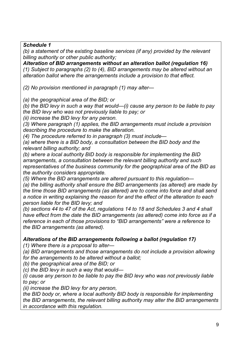*Schedule 1*

*(b) a statement of the existing baseline services (if any) provided by the relevant billing authority or other public authority;* 

*Alteration of BID arrangements without an alteration ballot (regulation 16) (1) Subject to paragraphs (2) to (4), BID arrangements may be altered without an alteration ballot where the arrangements include a provision to that effect.*

*(2) No provision mentioned in paragraph (1) may alter—*

*(a) the geographical area of the BID; or*

*(b) the BID levy in such a way that would—(i) cause any person to be liable to pay the BID levy who was not previously liable to pay; or*

*(ii) increase the BID levy for any person.*

*(3) Where paragraph (1) applies, the BID arrangements must include a provision describing the procedure to make the alteration.*

*(4) The procedure referred to in paragraph (3) must include—*

*(a) where there is a BID body, a consultation between the BID body and the relevant billing authority; and*

*(b) where a local authority BID body is responsible for implementing the BID arrangements, a consultation between the relevant billing authority and such representatives of the business community for the geographical area of the BID as the authority considers appropriate.*

*(5) Where the BID arrangements are altered pursuant to this regulation—*

*(a) the billing authority shall ensure the BID arrangements (as altered) are made by the time those BID arrangements (as altered) are to come into force and shall send a notice in writing explaining the reason for and the effect of the alteration to each person liable for the BID levy; and*

*(b) sections 44 to 47 of the Act, regulations 14 to 18 and Schedules 3 and 4 shall have effect from the date the BID arrangements (as altered) come into force as if a reference in each of those provisions to "BID arrangements" were a reference to the BID arrangements (as altered).*

*Alterations of the BID arrangements following a ballot (regulation 17)*

*(1) Where there is a proposal to alter—*

*(a) BID arrangements and those arrangements do not include a provision allowing for the arrangements to be altered without a ballot;*

*(b) the geographical area of the BID; or*

*(c) the BID levy in such a way that would—*

*(i) cause any person to be liable to pay the BID levy who was not previously liable to pay; or*

*(ii) increase the BID levy for any person,*

*the BID body or, where a local authority BID body is responsible for implementing the BID arrangements, the relevant billing authority may alter the BID arrangements in accordance with this regulation.*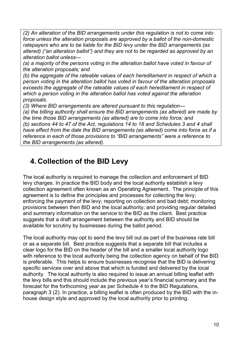*(2) An alteration of the BID arrangements under this regulation is not to come into force unless the alteration proposals are approved by a ballot of the non-domestic ratepayers who are to be liable for the BID levy under the BID arrangements (as altered) ("an alteration ballot") and they are not to be regarded as approved by an alteration ballot unless—*

*(a) a majority of the persons voting in the alteration ballot have voted in favour of the alteration proposals; and*

*(b) the aggregate of the rateable values of each hereditament in respect of which a person voting in the alteration ballot has voted in favour of the alteration proposals exceeds the aggregate of the rateable values of each hereditament in respect of which a person voting in the alteration ballot has voted against the alteration proposals.*

*(3) Where BID arrangements are altered pursuant to this regulation—*

*(a) the billing authority shall ensure the BID arrangements (as altered) are made by the time those BID arrangements (as altered) are to come into force; and (b) sections 44 to 47 of the Act, regulations 14 to 18 and Schedules 3 and 4 shall have effect from the date the BID arrangements (as altered) come into force as if a reference in each of those provisions to "BID arrangements" were a reference to the BID arrangements (as altered).*

### **4. Collection of the BID Levy**

The local authority is required to manage the collection and enforcement of BID levy charges. In practice the BID body and the local authority establish a levy collection agreement often known as an Operating Agreement. The principle of this agreement is to define the principles and processes for collecting the levy; enforcing the payment of the levy; reporting on collection and bad debt; monitoring provisions between then BID and the local authority; and providing regular detailed and summary information on the service to the BID as the client. Best practice suggests that a draft arrangement between the authority and BID should be available for scrutiny by businesses during the ballot period.

The local authority may opt to send the levy bill out as part of the business rate bill or as a separate bill. Best practice suggests that a separate bill that includes a clear logo for the BID on the header of the bill and a smaller local authority logo with reference to the local authority being the collection agency on behalf of the BID is preferable. This helps to ensure businesses recognise that the BID is delivering specific services over and above that which is funded and delivered by the local authority. The local authority is also required to issue an annual billing leaflet with the levy bills and this should include the previous year's financial summary and the forecast for the forthcoming year as per Schedule 4 to the BID Regulations, paragraph 3 (2). In practice, a billing leaflet is often produced by the BID with the inhouse design style and approved by the local authority prior to printing.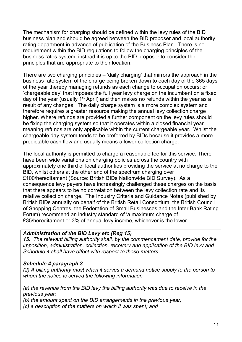The mechanism for charging should be defined within the levy rules of the BID business plan and should be agreed between the BID proposer and local authority rating department in advance of publication of the Business Plan. There is no requirement within the BID regulations to follow the charging principles of the business rates system; instead it is up to the BID proposer to consider the principles that are appropriate to their location.

There are two charging principles – 'daily charging' that mirrors the approach in the business rate system of the charge being broken down to each day of the 365 days of the year thereby managing refunds as each change to occupation occurs; or 'chargeable day' that imposes the full year levy charge on the incumbent on a fixed day of the year (usually 1<sup>st</sup> April) and then makes no refunds within the year as a result of any changes. The daily charge system is a more complex system and therefore requires a greater resource making the annual levy collection charge higher. Where refunds are provided a further component on the levy rules should be fixing the charging system so that it operates within a closed financial year meaning refunds are only applicable within the current chargeable year. Whilst the chargeable day system tends to be preferred by BIDs because it provides a more predictable cash flow and usually means a lower collection charge.

The local authority is permitted to charge a reasonable fee for this service. There have been wide variations on charging policies across the country with approximately one third of local authorities providing the service at no charge to the BID, whilst others at the other end of the spectrum charging over £100/hereditament (Source: British BIDs Nationwide BID Survey). As a consequence levy payers have increasingly challenged these charges on the basis that there appears to be no correlation between the levy collection rate and its relative collection charge. The Industry Criteria and Guidance Notes (published by British BIDs annually on behalf of the British Retail Consortium, the British Council of Shopping Centres, the Federation of Small Businesses and the Inter Bank Rating Forum) recommend an industry standard of 'a maximum charge of £35/hereditament or 3% of annual levy income, whichever is the lower.

### *Administration of the BID Levy etc (Reg 15)*

*15. The relevant billing authority shall, by the commencement date, provide for the imposition, administration, collection, recovery and application of the BID levy and Schedule 4 shall have effect with respect to those matters.*

### *Schedule 4 paragraph 3*

*(2) A billing authority must when it serves a demand notice supply to the person to whom the notice is served the following information—*

*(a) the revenue from the BID levy the billing authority was due to receive in the previous year;* 

*(b) the amount spent on the BID arrangements in the previous year; (c) a description of the matters on which it was spent; and*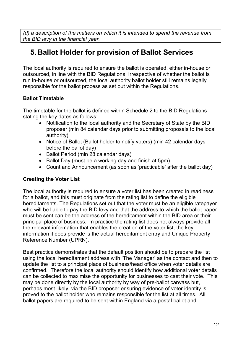*(d) a description of the matters on which it is intended to spend the revenue from the BID levy in the financial year.*

### **5. Ballot Holder for provision of Ballot Services**

The local authority is required to ensure the ballot is operated, either in-house or outsourced, in line with the BID Regulations. Irrespective of whether the ballot is run in-house or outsourced, the local authority ballot holder still remains legally responsible for the ballot process as set out within the Regulations.

### **Ballot Timetable**

The timetable for the ballot is defined within Schedule 2 to the BID Regulations stating the key dates as follows:

- Notification to the local authority and the Secretary of State by the BID proposer (min 84 calendar days prior to submitting proposals to the local authority)
- Notice of Ballot (Ballot holder to notify voters) (min 42 calendar days before the ballot day)
- Ballot Period (min 28 calendar days)
- Ballot Day (must be a working day and finish at 5pm)
- Count and Announcement (as soon as 'practicable' after the ballot day)

### **Creating the Voter List**

The local authority is required to ensure a voter list has been created in readiness for a ballot, and this must originate from the rating list to define the eligible hereditaments. The Regulations set out that the voter must be an eligible ratepayer who will be liable to pay the BID levy and that the address to which the ballot paper must be sent can be the address of the hereditament within the BID area or their principal place of business. In practice the rating list does not always provide all the relevant information that enables the creation of the voter list, the key information it does provide is the actual hereditament entry and Unique Property Reference Number (UPRN).

Best practice demonstrates that the default position should be to prepare the list using the local hereditament address with 'The Manager' as the contact and then to update the list to a principal place of business/head office when voter details are confirmed. Therefore the local authority should identify how additional voter details can be collected to maximise the opportunity for businesses to cast their vote. This may be done directly by the local authority by way of pre-ballot canvass but, perhaps most likely, via the BID proposer ensuring evidence of voter identity is proved to the ballot holder who remains responsible for the list at all times. All ballot papers are required to be sent within England via a postal ballot and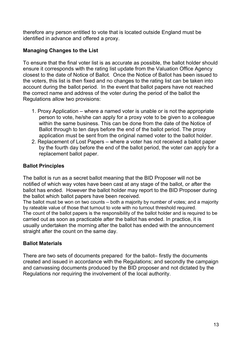therefore any person entitled to vote that is located outside England must be identified in advance and offered a proxy.

### **Managing Changes to the List**

To ensure that the final voter list is as accurate as possible, the ballot holder should ensure it corresponds with the rating list update from the Valuation Office Agency closest to the date of Notice of Ballot. Once the Notice of Ballot has been issued to the voters, this list is then fixed and no changes to the rating list can be taken into account during the ballot period. In the event that ballot papers have not reached the correct name and address of the voter during the period of the ballot the Regulations allow two provisions:

- 1. Proxy Application where a named voter is unable or is not the appropriate person to vote, he/she can apply for a proxy vote to be given to a colleague within the same business. This can be done from the date of the Notice of Ballot through to ten days before the end of the ballot period. The proxy application must be sent from the original named voter to the ballot holder.
- 2. Replacement of Lost Papers where a voter has not received a ballot paper by the fourth day before the end of the ballot period, the voter can apply for a replacement ballot paper.

### **Ballot Principles**

The ballot is run as a secret ballot meaning that the BID Proposer will not be notified of which way votes have been cast at any stage of the ballot, or after the ballot has ended. However the ballot holder may report to the BID Proposer during the ballot which ballot papers have been received.

The ballot must be won on two counts – both a majority by number of votes; and a majority by rateable value of those that turnout to vote with no turnout threshold required. The count of the ballot papers is the responsibility of the ballot holder and is required to be carried out as soon as practicable after the ballot has ended. In practice, it is usually undertaken the morning after the ballot has ended with the announcement straight after the count on the same day.

### **Ballot Materials**

There are two sets of documents prepared for the ballot– firstly the documents created and issued in accordance with the Regulations; and secondly the campaign and canvassing documents produced by the BID proposer and not dictated by the Regulations nor requiring the involvement of the local authority.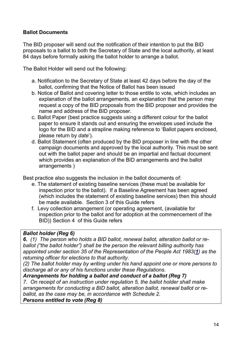### **Ballot Documents**

The BID proposer will send out the notification of their intention to put the BID proposals to a ballot to both the Secretary of State and the local authority, at least 84 days before formally asking the ballot holder to arrange a ballot.

The Ballot Holder will send out the following:

- a. Notification to the Secretary of State at least 42 days before the day of the ballot, confirming that the Notice of Ballot has been issued
- b. Notice of Ballot and covering letter to those entitle to vote, which includes an explanation of the ballot arrangements, an explanation that the person may request a copy of the BID proposals from the BID proposer and provides the name and address of the BID proposer.
- c. Ballot Paper (best practice suggests using a different colour for the ballot paper to ensure it stands out and ensuring the envelopes used include the logo for the BID and a strapline making reference to 'Ballot papers enclosed, please return by *date*').
- d. Ballot Statement (often produced by the BID proposer in line with the other campaign documents and approved by the local authority. This must be sent out with the ballot paper and should be an impartial and factual document which provides an explanation of the BID arrangements and the ballot arrangements )

Best practice also suggests the inclusion in the ballot documents of:

- e. The statement of existing baseline services (these must be available for inspection prior to the ballot). If a Baseline Agreement has been agreed (which includes the statement of existing baseline services) then this should be made available. Section 3 of this Guide refers
- f. Levy collection arrangement (or operating agreement, (available for inspection prior to the ballot and for adoption at the commencement of the BID)) Section 4 of this Guide refers

### *Ballot holder (Reg 6)*

*6. (1) The person who holds a BID ballot, renewal ballot, alteration ballot or reballot ("the ballot holder") shall be the person the relevant billing authority has appointed under section 35 of the Representation of the People Act 1983([1](http://www.legislation.gov.uk/uksi/2004/2443/regulation/6/made#f00009)) as the returning officer for elections to that authority.* 

*(2) The ballot holder may by writing under his hand appoint one or more persons to discharge all or any of his functions under these Regulations.* 

### *Arrangements for holding a ballot and conduct of a ballot (Reg 7)*

*7. On receipt of an instruction under regulation 5, the ballot holder shall make arrangements for conducting a BID ballot, alteration ballot, renewal ballot or reballot, as the case may be, in accordance with Schedule 2. Persons entitled to vote (Reg 8)*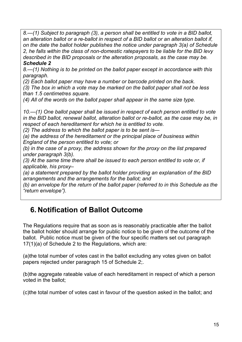*8.—(1) Subject to paragraph (3), a person shall be entitled to vote in a BID ballot, an alteration ballot or a re-ballot in respect of a BID ballot or an alteration ballot if, on the date the ballot holder publishes the notice under paragraph 3(a) of Schedule 2, he falls within the class of non-domestic ratepayers to be liable for the BID levy described in the BID proposals or the alteration proposals, as the case may be. Schedule 2*

*8.—(1) Nothing is to be printed on the ballot paper except in accordance with this paragraph.* 

*(2) Each ballot paper may have a number or barcode printed on the back.*

*(3) The box in which a vote may be marked on the ballot paper shall not be less than 1.5 centimetres square.* 

*(4) All of the words on the ballot paper shall appear in the same size type.* 

*10.—(1) One ballot paper shall be issued in respect of each person entitled to vote in the BID ballot, renewal ballot, alteration ballot or re-ballot, as the case may be, in respect of each hereditament for which he is entitled to vote.* 

*(2) The address to which the ballot paper is to be sent is—*

*(a) the address of the hereditament or the principal place of business within England of the person entitled to vote; or* 

*(b) in the case of a proxy, the address shown for the proxy on the list prepared under paragraph 3(b).* 

*(3) At the same time there shall be issued to each person entitled to vote or, if applicable, his proxy–*

*(a) a statement prepared by the ballot holder providing an explanation of the BID arrangements and the arrangements for the ballot; and* 

*(b) an envelope for the return of the ballot paper (referred to in this Schedule as the "return envelope").*

### **6. Notification of Ballot Outcome**

The Regulations require that as soon as is reasonably practicable after the ballot the ballot holder should arrange for public notice to be given of the outcome of the ballot. Public notice must be given of the four specific matters set out paragraph 17(1)(a) of Schedule 2 to the Regulations, which are:

(a)the total number of votes cast in the ballot excluding any votes given on ballot papers rejected under paragraph 15 of Schedule 2;.

(b)the aggregate rateable value of each hereditament in respect of which a person voted in the ballot;

(c)the total number of votes cast in favour of the question asked in the ballot; and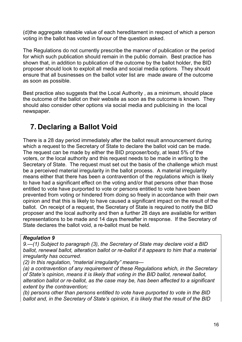(d)the aggregate rateable value of each hereditament in respect of which a person voting in the ballot has voted in favour of the question asked.

The Regulations do not currently prescribe the manner of publication or the period for which such publication should remain in the public domain. Best practice has shown that, in addition to publication of the outcome by the ballot holder, the BID proposer should look to exploit all media and social media options. They should ensure that all businesses on the ballot voter list are made aware of the outcome as soon as possible.

Best practice also suggests that the Local Authority , as a minimum, should place the outcome of the ballot on their website as soon as the outcome is known. They should also consider other options via social media and publicising in the local newspaper.

## **7. Declaring a Ballot Void**

There is a 28 day period immediately after the ballot result announcement during which a request to the Secretary of State to declare the ballot void can be made. The request can be made by either the BID proposer/body, at least 5% of the voters, or the local authority and this request needs to be made in writing to the Secretary of State. The request must set out the basis of the challenge which must be a perceived material irregularity in the ballot process. A material irregularity means either that there has been a contravention of the regulations which is likely to have had a significant effect on the voting and/or that persons other than those entitled to vote have purported to vote or persons entitled to vote have been prevented from voting or hindered from doing so freely in accordance with their own opinion and that this is likely to have caused a significant impact on the result of the ballot. On receipt of a request, the Secretary of State is required to notify the BID proposer and the local authority and then a further 28 days are available for written representations to be made and 14 days thereafter in response. If the Secretary of State declares the ballot void, a re-ballot must be held.

### *Regulation 9*

*9.—(1) Subject to paragraph (3), the Secretary of State may declare void a BID ballot, renewal ballot, alteration ballot or re-ballot if it appears to him that a material irregularity has occurred.* 

*(2) In this regulation, "material irregularity" means—*

*(a) a contravention of any requirement of these Regulations which, in the Secretary of State's opinion, means it is likely that voting in the BID ballot, renewal ballot, alteration ballot or re-ballot, as the case may be, has been affected to a significant extent by the contravention;* 

*(b) persons other than persons entitled to vote have purported to vote in the BID ballot and, in the Secretary of State's opinion, it is likely that the result of the BID*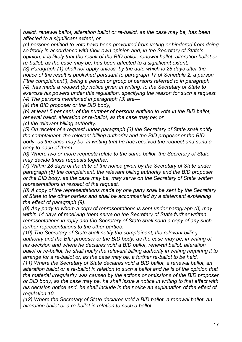*ballot, renewal ballot, alteration ballot or re-ballot, as the case may be, has been affected to a significant extent; or* 

*(c) persons entitled to vote have been prevented from voting or hindered from doing so freely in accordance with their own opinion and, in the Secretary of State's opinion, it is likely that the result of the BID ballot, renewal ballot, alteration ballot or re-ballot, as the case may be, has been affected to a significant extent.* 

*(3) Paragraph (1) shall not apply unless, by the date which is 28 days after the notice of the result is published pursuant to paragraph 17 of Schedule 2, a person ("the complainant"), being a person or group of persons referred to in paragraph (4), has made a request (by notice given in writing) to the Secretary of State to exercise his powers under this regulation, specifying the reason for such a request. (4) The persons mentioned in paragraph (3) are—*

*(a) the BID proposer or the BID body;* 

*(b) at least 5 per cent. of the number of persons entitled to vote in the BID ballot, renewal ballot, alteration or re-ballot, as the case may be; or* 

*(c) the relevant billing authority.*

*(5) On receipt of a request under paragraph (3) the Secretary of State shall notify the complainant, the relevant billing authority and the BID proposer or the BID body, as the case may be, in writing that he has received the request and send a copy to each of them.* 

*(6) Where two or more requests relate to the same ballot, the Secretary of State may decide those requests together.* 

*(7) Within 28 days of the date of the notice given by the Secretary of State under paragraph (5) the complainant, the relevant billing authority and the BID proposer or the BID body, as the case may be, may serve on the Secretary of State written representations in respect of the request.* 

*(8) A copy of the representations made by one party shall be sent by the Secretary of State to the other parties and shall be accompanied by a statement explaining the effect of paragraph (9).* 

*(9) Any party to whom a copy of representations is sent under paragraph (8) may within 14 days of receiving them serve on the Secretary of State further written representations in reply and the Secretary of State shall send a copy of any such further representations to the other parties.* 

*(10) The Secretary of State shall notify the complainant, the relevant billing authority and the BID proposer or the BID body, as the case may be, in writing of his decision and where he declares void a BID ballot, renewal ballot, alteration ballot or re-ballot, he shall notify the relevant billing authority in writing requiring it to arrange for a re-ballot or, as the case may be, a further re-ballot to be held.*

*(11) Where the Secretary of State declares void a BID ballot, a renewal ballot, an alteration ballot or a re-ballot in relation to such a ballot and he is of the opinion that the material irregularity was caused by the actions or omissions of the BID proposer or BID body, as the case may be, he shall issue a notice in writing to that effect with his decision notice and, he shall include in the notice an explanation of the effect of regulation 10.* 

*(12) Where the Secretary of State declares void a BID ballot, a renewal ballot, an alteration ballot or a re-ballot in relation to such a ballot—*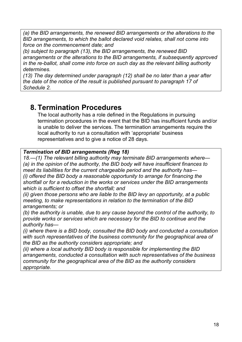*(a) the BID arrangements, the renewed BID arrangements or the alterations to the BID arrangements, to which the ballot declared void relates, shall not come into force on the commencement date; and* 

*(b) subject to paragraph (13), the BID arrangements, the renewed BID arrangements or the alterations to the BID arrangements, if subsequently approved in the re-ballot, shall come into force on such day as the relevant billing authority determines.* 

*(13) The day determined under paragraph (12) shall be no later than a year after the date of the notice of the result is published pursuant to paragraph 17 of Schedule 2.*

### **8. Termination Procedures**

The local authority has a role defined in the Regulations in pursuing termination procedures in the event that the BID has insufficient funds and/or is unable to deliver the services. The termination arrangements require the local authority to run a consultation with 'appropriate' business representatives and to give a notice of 28 days.

#### *Termination of BID arrangements (Reg 18)*

*18.—(1) The relevant billing authority may terminate BID arrangements where— (a) in the opinion of the authority, the BID body will have insufficient finances to meet its liabilities for the current chargeable period and the authority has— (i) offered the BID body a reasonable opportunity to arrange for financing the shortfall or for a reduction in the works or services under the BID arrangements which is sufficient to offset the shortfall; and* 

*(ii) given those persons who are liable to the BID levy an opportunity, at a public meeting, to make representations in relation to the termination of the BID arrangements; or* 

*(b) the authority is unable, due to any cause beyond the control of the authority, to provide works or services which are necessary for the BID to continue and the authority has—*

*(i) where there is a BID body, consulted the BID body and conducted a consultation with such representatives of the business community for the geographical area of the BID as the authority considers appropriate; and* 

*(ii) where a local authority BID body is responsible for implementing the BID arrangements, conducted a consultation with such representatives of the business community for the geographical area of the BID as the authority considers appropriate.*